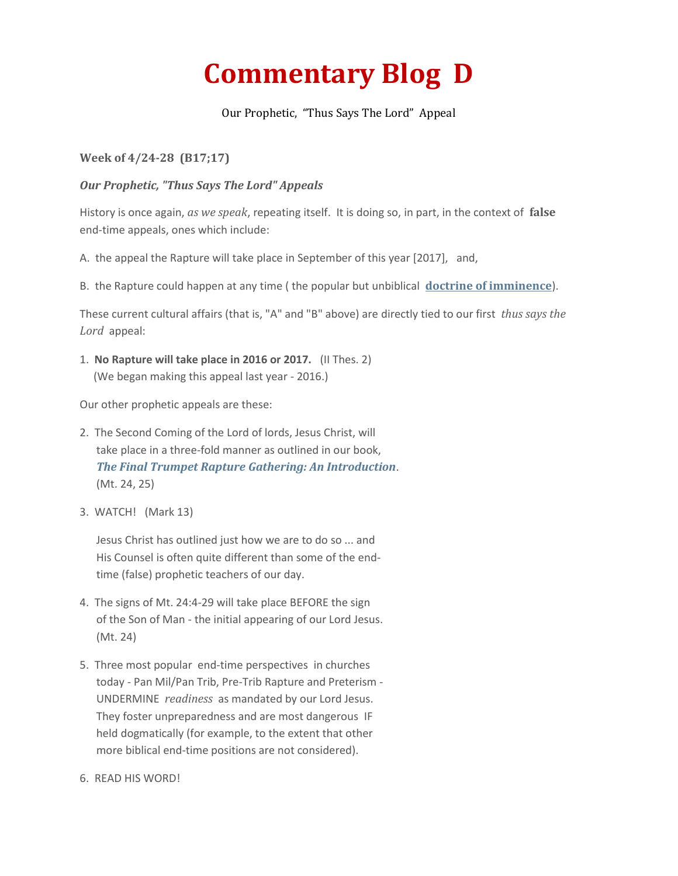## **Commentary Blog D**

Our Prophetic, "Thus Says The Lord" Appeal

## **Week of 4/24-28 (B17;17)**

## *Our Prophetic, "Thus Says The Lord" Appeals*

History is once again, *as we speak*, repeating itself. It is doing so, in part, in the context of **false** end-time appeals, ones which include:

A. the appeal the Rapture will take place in September of this year [2017], and,

B. the Rapture could happen at any time ( the popular but unbiblical **[doctrine of imminence](http://truthfoundations.org/1cid4.pdf)**).

These current cultural affairs (that is, "A" and "B" above) are directly tied to our first *thus says the Lord* appeal:

1. **No Rapture will take place in 2016 or 2017.** (II Thes. 2) (We began making this appeal last year - 2016.)

Our other prophetic appeals are these:

- 2. The Second Coming of the Lord of lords, Jesus Christ, will take place in a three-fold manner as outlined in our book, *[The Final Trumpet Rapture Gathering: An Introduction](https://vimeo.com/521078459)*. (Mt. 24, 25)
- 3. WATCH! (Mark 13)

Jesus Christ has outlined just how we are to do so ... and His Counsel is often quite different than some of the endtime (false) prophetic teachers of our day.

- 4. The signs of Mt. 24:4-29 will take place BEFORE the sign of the Son of Man - the initial appearing of our Lord Jesus. (Mt. 24)
- 5. Three most popular end-time perspectives in churches today - Pan Mil/Pan Trib, Pre-Trib Rapture and Preterism - UNDERMINE *readiness* as mandated by our Lord Jesus. They foster unpreparedness and are most dangerous IF held dogmatically (for example, to the extent that other more biblical end-time positions are not considered).
- 6. READ HIS WORD!